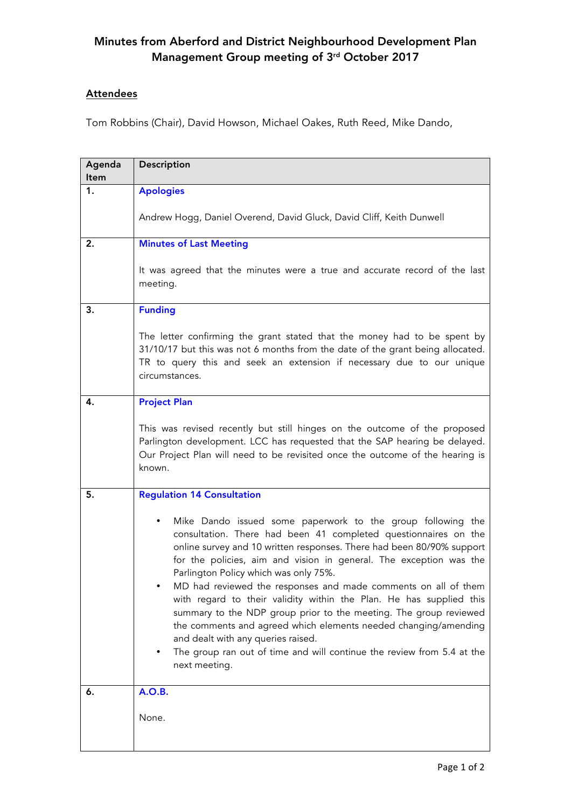## Minutes from Aberford and District Neighbourhood Development Plan Management Group meeting of 3rd October 2017

## **Attendees**

Tom Robbins (Chair), David Howson, Michael Oakes, Ruth Reed, Mike Dando,

| Agenda<br>ltem | Description                                                                                                                                                                                                                                                                                                                                                                                                                                                                                                                                                                                                                                                                                                                              |
|----------------|------------------------------------------------------------------------------------------------------------------------------------------------------------------------------------------------------------------------------------------------------------------------------------------------------------------------------------------------------------------------------------------------------------------------------------------------------------------------------------------------------------------------------------------------------------------------------------------------------------------------------------------------------------------------------------------------------------------------------------------|
| 1.             | <b>Apologies</b>                                                                                                                                                                                                                                                                                                                                                                                                                                                                                                                                                                                                                                                                                                                         |
|                | Andrew Hogg, Daniel Overend, David Gluck, David Cliff, Keith Dunwell                                                                                                                                                                                                                                                                                                                                                                                                                                                                                                                                                                                                                                                                     |
| 2.             | <b>Minutes of Last Meeting</b>                                                                                                                                                                                                                                                                                                                                                                                                                                                                                                                                                                                                                                                                                                           |
|                | It was agreed that the minutes were a true and accurate record of the last<br>meeting.                                                                                                                                                                                                                                                                                                                                                                                                                                                                                                                                                                                                                                                   |
| 3.             | <b>Funding</b>                                                                                                                                                                                                                                                                                                                                                                                                                                                                                                                                                                                                                                                                                                                           |
|                | The letter confirming the grant stated that the money had to be spent by<br>31/10/17 but this was not 6 months from the date of the grant being allocated.<br>TR to query this and seek an extension if necessary due to our unique<br>circumstances.                                                                                                                                                                                                                                                                                                                                                                                                                                                                                    |
| 4.             | <b>Project Plan</b>                                                                                                                                                                                                                                                                                                                                                                                                                                                                                                                                                                                                                                                                                                                      |
|                | This was revised recently but still hinges on the outcome of the proposed<br>Parlington development. LCC has requested that the SAP hearing be delayed.<br>Our Project Plan will need to be revisited once the outcome of the hearing is<br>known.                                                                                                                                                                                                                                                                                                                                                                                                                                                                                       |
| 5.             | <b>Regulation 14 Consultation</b>                                                                                                                                                                                                                                                                                                                                                                                                                                                                                                                                                                                                                                                                                                        |
|                | Mike Dando issued some paperwork to the group following the<br>consultation. There had been 41 completed questionnaires on the<br>online survey and 10 written responses. There had been 80/90% support<br>for the policies, aim and vision in general. The exception was the<br>Parlington Policy which was only 75%.<br>MD had reviewed the responses and made comments on all of them<br>with regard to their validity within the Plan. He has supplied this<br>summary to the NDP group prior to the meeting. The group reviewed<br>the comments and agreed which elements needed changing/amending<br>and dealt with any queries raised.<br>The group ran out of time and will continue the review from 5.4 at the<br>next meeting. |
| 6.             | <b>A.O.B.</b>                                                                                                                                                                                                                                                                                                                                                                                                                                                                                                                                                                                                                                                                                                                            |
|                | None.                                                                                                                                                                                                                                                                                                                                                                                                                                                                                                                                                                                                                                                                                                                                    |